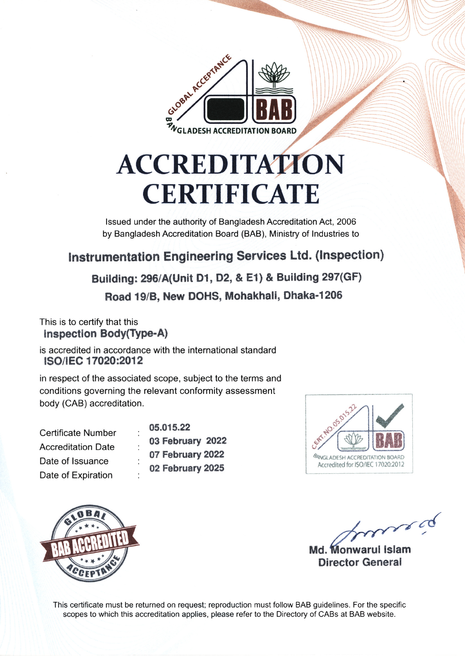

# **ACCREDITATION CERTIFICATE**

Issued under the authority of Bangladesh Accreditation Act, 2006 by Bangladesh Accreditation Board (BAB), Ministry of Industries to

# Instrumentation Engineering Services Ltd. (Inspection)

Building: 296/A(Unit D1, D2, & E1) & Building 297(GF) Road 19/B, New DOHS, Mohakhali, Dhaka-1206

#### This is to certify that this Inspection Body(Type-A)

is accredited in accordance with the international standard ISO/IEC 17020:2012

in respect of the associated scope, subject to the terms and conditions governing the relevant conformity assessment body (CAB) accreditation.

| <b>Certificate Number</b> |   | $05.0^{\circ}$ |
|---------------------------|---|----------------|
| <b>Accreditation Date</b> |   | 03 F           |
| Date of Issuance          |   | 07 F           |
| Date of Expiration        | ٠ | 02 F           |
|                           |   |                |

15.22 ebruary 2022 ebruary 2022 ebruary 2025





funed Md. Monwarul Islam

**Director General** 

This certificate must be returned on request; reproduction must follow BAB guidelines. For the specific scopes to which this accreditation applies, please refer to the Directory of CABs at BAB website.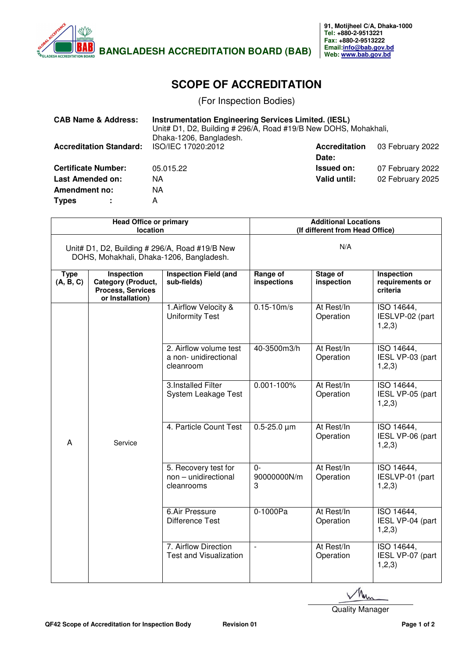

## **SCOPE OF ACCREDITATION**

(For Inspection Bodies)

| <b>CAB Name &amp; Address:</b> | <b>Instrumentation Engineering Services Limited. (IESL)</b><br>Unit# D1, D2, Building # 296/A, Road #19/B New DOHS, Mohakhali, |                      |                  |
|--------------------------------|--------------------------------------------------------------------------------------------------------------------------------|----------------------|------------------|
|                                | Dhaka-1206, Bangladesh.                                                                                                        |                      |                  |
| <b>Accreditation Standard:</b> | ISO/IEC 17020:2012                                                                                                             | <b>Accreditation</b> | 03 February 2022 |
|                                |                                                                                                                                | Date:                |                  |
| <b>Certificate Number:</b>     | 05.015.22                                                                                                                      | <b>Issued on:</b>    | 07 February 2022 |
| <b>Last Amended on:</b>        | NA.                                                                                                                            | Valid until:         | 02 February 2025 |
| <b>Amendment no:</b>           | NА                                                                                                                             |                      |                  |
| <b>Types</b>                   | A                                                                                                                              |                      |                  |

| <b>Head Office or primary</b><br>location                                                  |                                                                                                | <b>Additional Locations</b><br>(If different from Head Office) |                          |                         |                                                  |
|--------------------------------------------------------------------------------------------|------------------------------------------------------------------------------------------------|----------------------------------------------------------------|--------------------------|-------------------------|--------------------------------------------------|
| Unit# D1, D2, Building # 296/A, Road #19/B New<br>DOHS, Mohakhali, Dhaka-1206, Bangladesh. |                                                                                                | N/A                                                            |                          |                         |                                                  |
| <b>Type</b><br>(A, B, C)                                                                   | <b>Inspection</b><br><b>Category (Product,</b><br><b>Process, Services</b><br>or Installation) | <b>Inspection Field (and</b><br>sub-fields)                    | Range of<br>inspections  | Stage of<br>inspection  | <b>Inspection</b><br>requirements or<br>criteria |
|                                                                                            |                                                                                                | 1. Airflow Velocity &<br><b>Uniformity Test</b>                | $0.15 - 10m/s$           | At Rest/In<br>Operation | ISO 14644,<br>IESLVP-02 (part<br>1, 2, 3)        |
|                                                                                            |                                                                                                | 2. Airflow volume test<br>a non-unidirectional<br>cleanroom    | 40-3500m3/h              | At Rest/In<br>Operation | ISO 14644,<br>IESL VP-03 (part<br>1,2,3)         |
|                                                                                            |                                                                                                | 3. Installed Filter<br>System Leakage Test                     | $0.001 - 100\%$          | At Rest/In<br>Operation | ISO 14644,<br>IESL VP-05 (part<br>1,2,3)         |
| A                                                                                          | Service                                                                                        | 4. Particle Count Test                                         | $0.5 - 25.0 \mu m$       | At Rest/In<br>Operation | ISO 14644,<br>IESL VP-06 (part<br>1,2,3)         |
|                                                                                            |                                                                                                | 5. Recovery test for<br>non - unidirectional<br>cleanrooms     | $0-$<br>90000000N/m<br>3 | At Rest/In<br>Operation | ISO 14644,<br>IESLVP-01 (part<br>1,2,3)          |
|                                                                                            |                                                                                                | 6.Air Pressure<br><b>Difference Test</b>                       | 0-1000Pa                 | At Rest/In<br>Operation | ISO 14644,<br>IESL VP-04 (part<br>1,2,3)         |
|                                                                                            |                                                                                                | 7. Airflow Direction<br><b>Test and Visualization</b>          | $\overline{\phantom{a}}$ | At Rest/In<br>Operation | ISO 14644,<br>IESL VP-07 (part<br>1,2,3)         |

Quality Manager